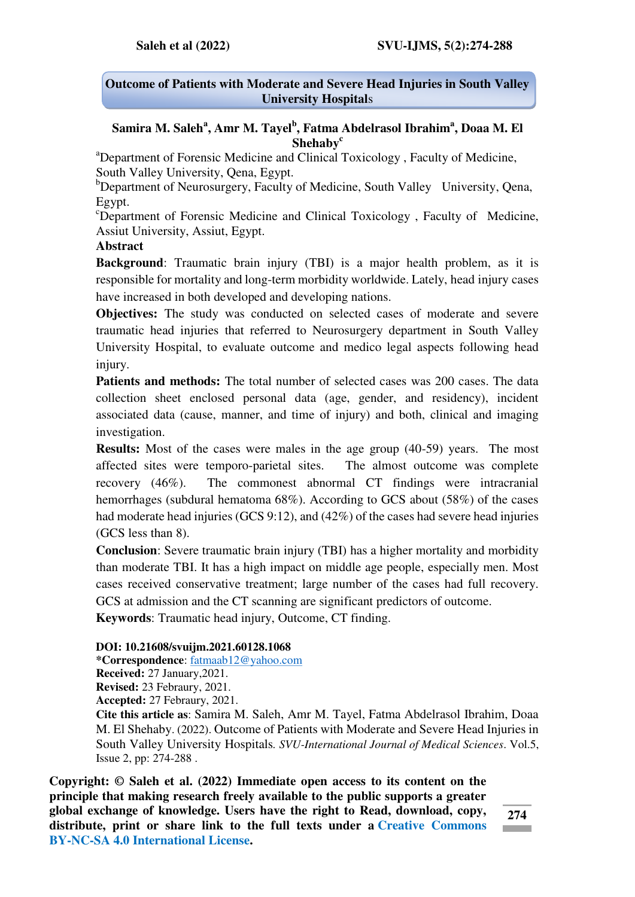## **Outcome of Patients with Moderate and Severe Head Injuries in South Valley University Hospital**s

## **Samira M. Saleh<sup>a</sup> , Amr M. Tayel<sup>b</sup> , Fatma Abdelrasol Ibrahim<sup>a</sup> , Doaa M. El Shehaby<sup>c</sup>**

<sup>a</sup>Department of Forensic Medicine and Clinical Toxicology, Faculty of Medicine, South Valley University, Qena, Egypt.

 $b$ Department of Neurosurgery, Faculty of Medicine, South Valley University, Qena, Egypt.

<sup>c</sup>Department of Forensic Medicine and Clinical Toxicology, Faculty of Medicine, Assiut University, Assiut, Egypt.

### **Abstract**

**Background**: Traumatic brain injury (TBI) is a major health problem, as it is responsible for mortality and long-term morbidity worldwide. Lately, head injury cases have increased in both developed and developing nations.

**Objectives:** The study was conducted on selected cases of moderate and severe traumatic head injuries that referred to Neurosurgery department in South Valley University Hospital, to evaluate outcome and medico legal aspects following head injury.

**Patients and methods:** The total number of selected cases was 200 cases. The data collection sheet enclosed personal data (age, gender, and residency), incident associated data (cause, manner, and time of injury) and both, clinical and imaging investigation.

**Results:** Most of the cases were males in the age group (40-59) years. The most affected sites were temporo-parietal sites. The almost outcome was complete recovery (46%). The commonest abnormal CT findings were intracranial hemorrhages (subdural hematoma 68%). According to GCS about (58%) of the cases had moderate head injuries (GCS 9:12), and (42%) of the cases had severe head injuries (GCS less than 8).

**Conclusion**: Severe traumatic brain injury (TBI) has a higher mortality and morbidity than moderate TBI. It has a high impact on middle age people, especially men. Most cases received conservative treatment; large number of the cases had full recovery. GCS at admission and the CT scanning are significant predictors of outcome. **Keywords**: Traumatic head injury, Outcome, CT finding.

#### **DOI: 10.21608/svuijm.2021.60128.1068**

**\*Correspondence**: [fatmaab12@yahoo.com](mailto:fatmaab12@yahoo.com)

**Received:** 27 January,2021.

**Revised:** 23 Febraury, 2021.

**Accepted:** 27 Febraury, 2021.

**Cite this article as**: Samira M. Saleh, Amr M. Tayel, Fatma Abdelrasol Ibrahim, Doaa M. El Shehaby. (2022). Outcome of Patients with Moderate and Severe Head Injuries in South Valley University Hospitals*. SVU-International Journal of Medical Sciences*. Vol.5, Issue 2, pp: 274-288 .

**Copyright: © Saleh et al. (2022) Immediate open access to its content on the principle that making research freely available to the public supports a greater global exchange of knowledge. Users have the right to Read, download, copy, distribute, print or share link to the full texts under a [Creative Commons](https://creativecommons.org/licenses/by-nc-sa/4.0/)  [BY-NC-SA 4.0 International License.](https://creativecommons.org/licenses/by-nc-sa/4.0/)** 

**274 Contract Contract**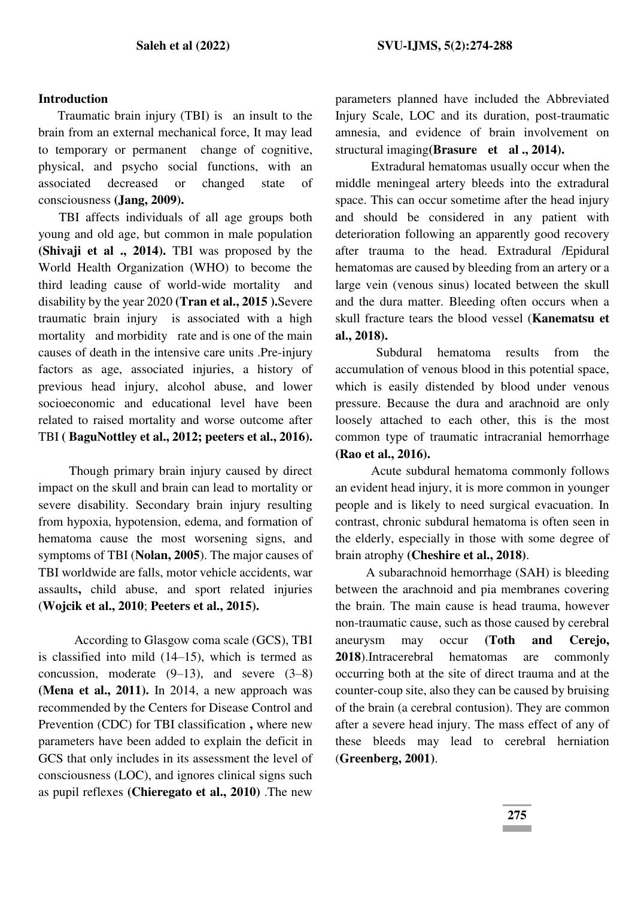#### **Introduction**

Traumatic brain injury (TBI) is an insult to the brain from an external mechanical force, It may lead to temporary or permanent change of cognitive, physical, and psycho social functions, with an associated decreased or changed state of consciousness **(Jang, 2009).**

 TBI affects individuals of all age groups both young and old age, but common in male population **(Shivaji et al ., 2014).** TBI was proposed by the World Health Organization (WHO) to become the third leading cause of world-wide mortality and disability by the year 2020 **(Tran et al., 2015 ).**Severe traumatic brain injury is associated with a high mortality and morbidity rate and is one of the main causes of death in the intensive care units .Pre-injury factors as age, associated injuries, a history of previous head injury, alcohol abuse, and lower socioeconomic and educational level have been related to raised mortality and worse outcome after TBI **( BaguNottley et al., 2012; peeters et al., 2016).** 

 Though primary brain injury caused by direct impact on the skull and brain can lead to mortality or severe disability. Secondary brain injury resulting from hypoxia, hypotension, edema, and formation of hematoma cause the most worsening signs, and symptoms of TBI (**Nolan, 2005**). The major causes of TBI worldwide are falls, motor vehicle accidents, war assaults**,** child abuse, and sport related injuries (**Wojcik et al., 2010**; **Peeters et al., 2015).** 

 According to Glasgow coma scale (GCS), TBI is classified into mild (14–15), which is termed as concussion, moderate  $(9-13)$ , and severe  $(3-8)$ **(Mena et al., 2011).** In 2014, a new approach was recommended by the Centers for Disease Control and Prevention (CDC) for TBI classification **,** where new parameters have been added to explain the deficit in GCS that only includes in its assessment the level of consciousness (LOC), and ignores clinical signs such as pupil reflexes **(Chieregato et al., 2010)** .The new

parameters planned have included the Abbreviated Injury Scale, LOC and its duration, post-traumatic amnesia, and evidence of brain involvement on structural imaging**(Brasure et al ., 2014).**

 Extradural hematomas usually occur when the middle meningeal artery bleeds into the extradural space. This can occur sometime after the head injury and should be considered in any patient with deterioration following an apparently good recovery after trauma to the head. Extradural /Epidural hematomas are caused by bleeding from an artery or a large vein (venous sinus) located between the skull and the dura matter. Bleeding often occurs when a skull fracture tears the blood vessel (**Kanematsu et al., 2018).** 

 Subdural hematoma results from the accumulation of venous blood in this potential space, which is easily distended by blood under venous pressure. Because the dura and arachnoid are only loosely attached to each other, this is the most common type of traumatic intracranial hemorrhage **(Rao et al., 2016).**

 Acute subdural hematoma commonly follows an evident head injury, it is more common in younger people and is likely to need surgical evacuation. In contrast, chronic subdural hematoma is often seen in the elderly, especially in those with some degree of brain atrophy **(Cheshire et al., 2018)**.

 A subarachnoid hemorrhage (SAH) is bleeding between the arachnoid and pia membranes covering the brain. The main cause is head trauma, however non-traumatic cause, such as those caused by cerebral aneurysm may occur **(Toth and Cerejo, 2018**).Intracerebral hematomas are commonly occurring both at the site of direct trauma and at the counter-coup site, also they can be caused by bruising of the brain (a cerebral contusion). They are common after a severe head injury. The mass effect of any of these bleeds may lead to cerebral herniation (**Greenberg, 2001)**.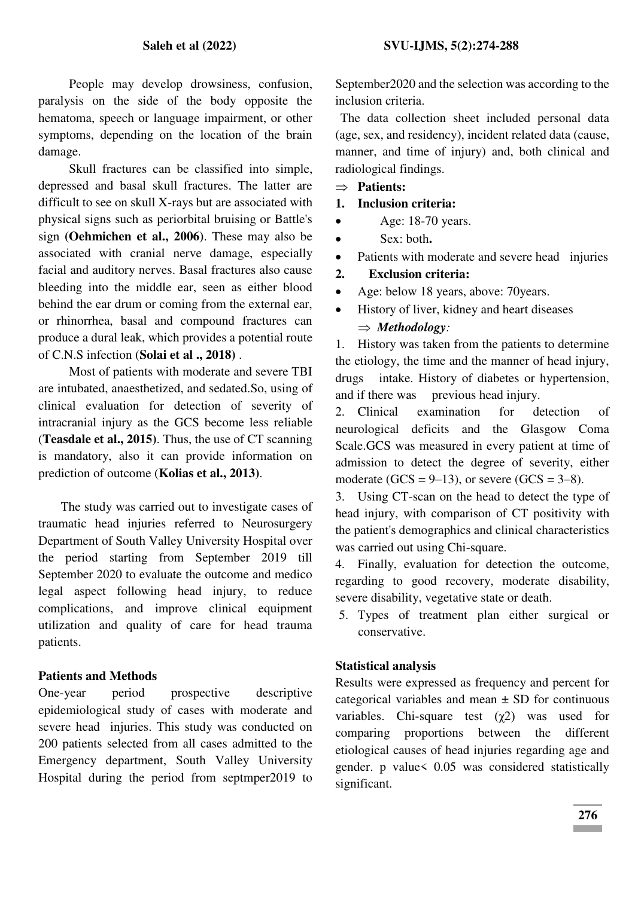People may develop drowsiness, confusion, paralysis on the side of the body opposite the hematoma, speech or language impairment, or other symptoms, depending on the location of the brain damage.

 Skull fractures can be classified into simple, depressed and basal skull fractures. The latter are difficult to see on skull X-rays but are associated with physical signs such as periorbital bruising or Battle's sign **(Oehmichen et al., 2006)**. These may also be associated with cranial nerve damage, especially facial and auditory nerves. Basal fractures also cause bleeding into the middle ear, seen as either blood behind the ear drum or coming from the external ear, or rhinorrhea, basal and compound fractures can produce a dural leak, which provides a potential route of C.N.S infection (**Solai et al ., 2018)** .

 Most of patients with moderate and severe TBI are intubated, anaesthetized, and sedated.So, using of clinical evaluation for detection of severity of intracranial injury as the GCS become less reliable (**Teasdale et al., 2015)**. Thus, the use of CT scanning is mandatory, also it can provide information on prediction of outcome (**Kolias et al., 2013)**.

The study was carried out to investigate cases of traumatic head injuries referred to Neurosurgery Department of South Valley University Hospital over the period starting from September 2019 till September 2020 to evaluate the outcome and medico legal aspect following head injury, to reduce complications, and improve clinical equipment utilization and quality of care for head trauma patients.

## **Patients and Methods**

One-year period prospective descriptive epidemiological study of cases with moderate and severe head injuries. This study was conducted on 200 patients selected from all cases admitted to the Emergency department, South Valley University Hospital during the period from septmper2019 to

September2020 and the selection was according to the inclusion criteria.

 The data collection sheet included personal data (age, sex, and residency), incident related data (cause, manner, and time of injury) and, both clinical and radiological findings.

- **Patients:**
- **1. Inclusion criteria:**
- $\bullet$  Age: 18-70 years.
- Sex: both**.**
- Patients with moderate and severe head injuries
- **2. Exclusion criteria:**
- Age: below 18 years, above: 70years.
- History of liver, kidney and heart diseases *Methodology:*

1. History was taken from the patients to determine the etiology, the time and the manner of head injury, drugs intake. History of diabetes or hypertension, and if there was previous head injury.

2. Clinical examination for detection of neurological deficits and the Glasgow Coma Scale.GCS was measured in every patient at time of admission to detect the degree of severity, either moderate (GCS =  $9-13$ ), or severe (GCS =  $3-8$ ).

3. Using CT-scan on the head to detect the type of head injury, with comparison of CT positivity with the patient's demographics and clinical characteristics was carried out using Chi-square.

4. Finally, evaluation for detection the outcome, regarding to good recovery, moderate disability, severe disability, vegetative state or death.

5. Types of treatment plan either surgical or conservative.

#### **Statistical analysis**

Results were expressed as frequency and percent for categorical variables and mean  $\pm$  SD for continuous variables. Chi-square test  $(\gamma 2)$  was used for comparing proportions between the different etiological causes of head injuries regarding age and gender. p value< 0.05 was considered statistically significant.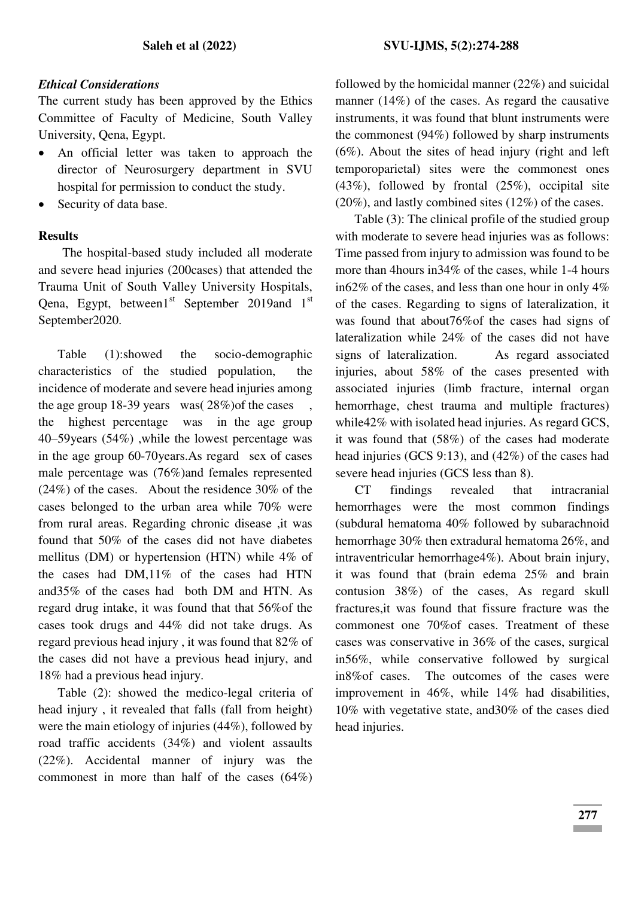## *Ethical Considerations*

The current study has been approved by the Ethics Committee of Faculty of Medicine, South Valley University, Qena, Egypt.

- An official letter was taken to approach the director of Neurosurgery department in SVU hospital for permission to conduct the study.
- Security of data base.

## **Results**

The hospital-based study included all moderate and severe head injuries (200cases) that attended the Trauma Unit of South Valley University Hospitals, Qena, Egypt, between $1<sup>st</sup>$  September 2019and  $1<sup>st</sup>$ September2020.

Table (1):showed the socio-demographic characteristics of the studied population, the incidence of moderate and severe head injuries among the age group 18-39 years was  $(28\%)$  of the cases the highest percentage was in the age group 40–59years (54%) ,while the lowest percentage was in the age group 60-70years.As regard sex of cases male percentage was (76%)and females represented (24%) of the cases. About the residence 30% of the cases belonged to the urban area while 70% were from rural areas. Regarding chronic disease ,it was found that 50% of the cases did not have diabetes mellitus (DM) or hypertension (HTN) while 4% of the cases had DM,11% of the cases had HTN and35% of the cases had both DM and HTN. As regard drug intake, it was found that that 56%of the cases took drugs and 44% did not take drugs. As regard previous head injury , it was found that 82% of the cases did not have a previous head injury, and 18% had a previous head injury.

Table (2): showed the medico-legal criteria of head injury , it revealed that falls (fall from height) were the main etiology of injuries (44%), followed by road traffic accidents (34%) and violent assaults (22%). Accidental manner of injury was the commonest in more than half of the cases (64%)

followed by the homicidal manner (22%) and suicidal manner (14%) of the cases. As regard the causative instruments, it was found that blunt instruments were the commonest (94%) followed by sharp instruments (6%). About the sites of head injury (right and left temporoparietal) sites were the commonest ones (43%), followed by frontal (25%), occipital site (20%), and lastly combined sites (12%) of the cases.

Table (3): The clinical profile of the studied group with moderate to severe head injuries was as follows: Time passed from injury to admission was found to be more than 4hours in34% of the cases, while 1-4 hours in62% of the cases, and less than one hour in only 4% of the cases. Regarding to signs of lateralization, it was found that about76%of the cases had signs of lateralization while 24% of the cases did not have signs of lateralization. As regard associated injuries, about 58% of the cases presented with associated injuries (limb fracture, internal organ hemorrhage, chest trauma and multiple fractures) while42% with isolated head injuries. As regard GCS, it was found that (58%) of the cases had moderate head injuries (GCS 9:13), and (42%) of the cases had severe head injuries (GCS less than 8).

 CT findings revealed that intracranial hemorrhages were the most common findings (subdural hematoma 40% followed by subarachnoid hemorrhage 30% then extradural hematoma 26%, and intraventricular hemorrhage4%). About brain injury, it was found that (brain edema 25% and brain contusion 38%) of the cases, As regard skull fractures,it was found that fissure fracture was the commonest one 70%of cases. Treatment of these cases was conservative in 36% of the cases, surgical in56%, while conservative followed by surgical in8%of cases. The outcomes of the cases were improvement in 46%, while 14% had disabilities, 10% with vegetative state, and30% of the cases died head injuries.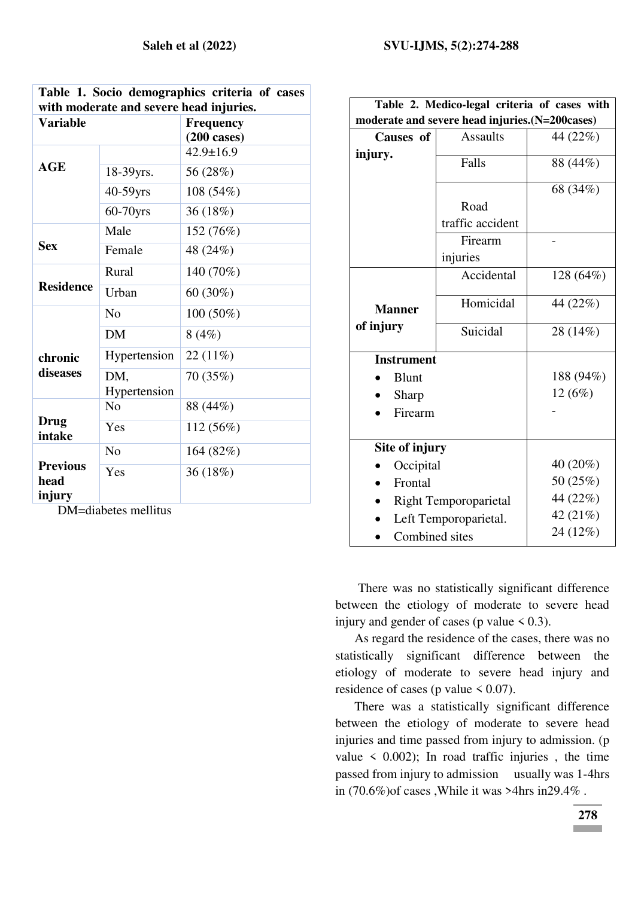|                                         |              | Table 1. Socio demographics criteria of cases |  |  |  |  |  |
|-----------------------------------------|--------------|-----------------------------------------------|--|--|--|--|--|
| with moderate and severe head injuries. |              |                                               |  |  |  |  |  |
| <b>Variable</b>                         |              | <b>Frequency</b>                              |  |  |  |  |  |
|                                         |              | $(200 \text{ cases})$                         |  |  |  |  |  |
|                                         |              | $42.9 \pm 16.9$                               |  |  |  |  |  |
| AGE                                     | 18-39yrs.    | 56 (28%)                                      |  |  |  |  |  |
|                                         | 40-59yrs     | 108 (54%)                                     |  |  |  |  |  |
|                                         | $60-70$ yrs  | 36 (18%)                                      |  |  |  |  |  |
|                                         | Male         | 152 (76%)                                     |  |  |  |  |  |
| <b>Sex</b>                              | Female       | 48 (24%)                                      |  |  |  |  |  |
|                                         | Rural        | 140 (70%)                                     |  |  |  |  |  |
| <b>Residence</b>                        | Urban        | 60 (30%)                                      |  |  |  |  |  |
|                                         | No           | 100 (50%)                                     |  |  |  |  |  |
|                                         | <b>DM</b>    | 8(4%)                                         |  |  |  |  |  |
| chronic                                 | Hypertension | 22 (11%)                                      |  |  |  |  |  |
| diseases                                | DM,          | 70 (35%)                                      |  |  |  |  |  |
|                                         | Hypertension |                                               |  |  |  |  |  |
|                                         | No           | 88 (44%)                                      |  |  |  |  |  |
| <b>Drug</b><br>intake                   | Yes          | 112 (56%)                                     |  |  |  |  |  |
|                                         | No           | 164 (82%)                                     |  |  |  |  |  |
| <b>Previous</b><br>head<br>injury       | Yes          | 36 (18%)                                      |  |  |  |  |  |
|                                         |              |                                               |  |  |  |  |  |

DM=diabetes mellitus

| Table 2. Medico-legal criteria of cases with   |                              |            |  |  |  |  |
|------------------------------------------------|------------------------------|------------|--|--|--|--|
| moderate and severe head injuries.(N=200cases) |                              |            |  |  |  |  |
| Causes of                                      | <b>Assaults</b>              | 44 (22%)   |  |  |  |  |
| injury.                                        | Falls                        | 88 (44%)   |  |  |  |  |
|                                                |                              | 68 (34%)   |  |  |  |  |
|                                                | Road                         |            |  |  |  |  |
|                                                | traffic accident             |            |  |  |  |  |
|                                                | Firearm                      |            |  |  |  |  |
|                                                | injuries                     |            |  |  |  |  |
|                                                | Accidental                   | 128 (64%)  |  |  |  |  |
| <b>Manner</b>                                  | Homicidal                    | 44 (22%)   |  |  |  |  |
| of injury                                      | Suicidal                     | 28 (14%)   |  |  |  |  |
| <b>Instrument</b>                              |                              |            |  |  |  |  |
| <b>Blunt</b>                                   |                              | 188 (94%)  |  |  |  |  |
| Sharp                                          |                              | 12 (6%)    |  |  |  |  |
| Firearm                                        |                              |            |  |  |  |  |
|                                                |                              |            |  |  |  |  |
| Site of injury                                 |                              |            |  |  |  |  |
| Occipital                                      |                              | $40(20\%)$ |  |  |  |  |
| Frontal                                        |                              | 50 (25%)   |  |  |  |  |
|                                                | <b>Right Temporoparietal</b> | 44 (22%)   |  |  |  |  |
|                                                | Left Temporoparietal.        | 42 (21%)   |  |  |  |  |
| Combined sites                                 |                              | 24 (12%)   |  |  |  |  |

There was no statistically significant difference between the etiology of moderate to severe head injury and gender of cases (p value  $< 0.3$ ).

As regard the residence of the cases, there was no statistically significant difference between the etiology of moderate to severe head injury and residence of cases (p value  $\leq 0.07$ ).

There was a statistically significant difference between the etiology of moderate to severe head injuries and time passed from injury to admission. (p value  $\leq$  0.002); In road traffic injuries, the time passed from injury to admission usually was 1-4hrs in (70.6%)of cases ,While it was >4hrs in29.4% .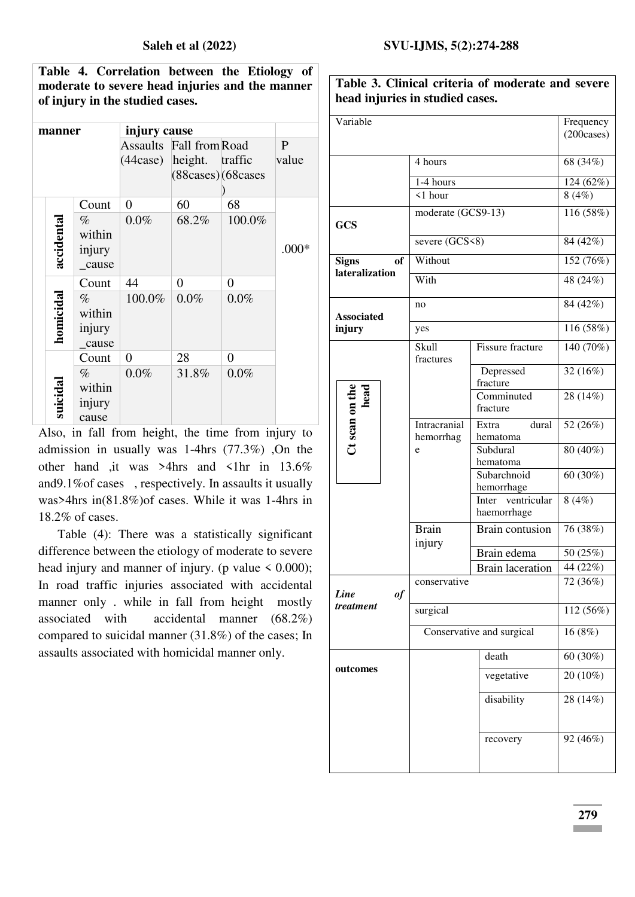**Table 4. Correlation between the Etiology of moderate to severe head injuries and the manner of injury in the studied cases.** 

| manner     |                                    | injury cause               |                    |                |              |
|------------|------------------------------------|----------------------------|--------------------|----------------|--------------|
|            |                                    | Assaults                   | Fall from Road     |                | $\mathbf{P}$ |
|            |                                    | $(44 \text{case})$ height. |                    | traffic        | value        |
|            |                                    |                            | (88cases) (68cases |                |              |
|            |                                    |                            |                    |                |              |
|            | Count                              | $\overline{0}$             | 60                 | 68             |              |
| accidental | $\%$<br>within<br>injury<br>_cause | $0.0\%$                    | 68.2%              | 100.0%         | $.000*$      |
|            | Count                              | 44                         | $\overline{0}$     | $\overline{0}$ |              |
| homicidal  | $\%$<br>within<br>injury<br>cause  | 100.0%                     | 0.0%               | $0.0\%$        |              |
|            | Count                              | $\overline{0}$             | 28                 | 0              |              |
| suicidal   | $\%$<br>within<br>injury<br>cause  | 0.0%                       | 31.8%              | 0.0%           |              |

Also, in fall from height, the time from injury to admission in usually was 1-4hrs (77.3%) ,On the other hand ,it was >4hrs and <1hr in 13.6% and9.1%of cases , respectively. In assaults it usually was>4hrs in(81.8%)of cases. While it was 1-4hrs in 18.2% of cases.

Table (4): There was a statistically significant difference between the etiology of moderate to severe head injury and manner of injury. (p value  $\leq 0.000$ ); In road traffic injuries associated with accidental manner only . while in fall from height mostly associated with accidental manner (68.2%) compared to suicidal manner (31.8%) of the cases; In assaults associated with homicidal manner only.

| Variable                       |                           |                                     | Frequency   |  |  |
|--------------------------------|---------------------------|-------------------------------------|-------------|--|--|
|                                |                           |                                     | (200 cases) |  |  |
|                                | 4 hours                   | 68 (34%)                            |             |  |  |
|                                | 1-4 hours                 |                                     |             |  |  |
|                                | $\leq 1$ hour             |                                     | 8(4%)       |  |  |
| <b>GCS</b>                     | moderate (GCS9-13)        |                                     | 116 (58%)   |  |  |
|                                | severe (GCS<8)            |                                     | 84 (42%)    |  |  |
| of<br><b>Signs</b>             | Without                   |                                     | 152 (76%)   |  |  |
| lateralization                 | With                      |                                     | 48 (24%)    |  |  |
| <b>Associated</b>              | no                        |                                     | $84(42\%)$  |  |  |
| injury                         | yes                       | 116 (58%)                           |             |  |  |
|                                | Skull<br>fractures        | <b>Fissure fracture</b>             | 140 (70%)   |  |  |
|                                |                           | Depressed<br>fracture               | 32 (16%)    |  |  |
| Ct scan on the<br>head<br>head |                           | Comminuted<br>fracture              | 28 (14%)    |  |  |
|                                | Intracranial<br>hemorrhag | dural<br>Extra<br>hematoma          | 52 (26%)    |  |  |
|                                | e                         | Subdural<br>hematoma                | 80 (40%)    |  |  |
|                                |                           | Subarchnoid<br>hemorrhage           | 60 (30%)    |  |  |
|                                |                           | ventricular<br>Inter<br>haemorrhage | 8(4%)       |  |  |
|                                | <b>Brain</b><br>injury    | <b>Brain contusion</b>              | 76 (38%)    |  |  |
|                                |                           | Brain edema                         | 50 (25%)    |  |  |
|                                |                           | <b>Brain</b> laceration             | 44 (22%)    |  |  |
| <b>Line</b><br>of              | conservative              | 72 (36%)                            |             |  |  |
| treatment                      | surgical                  |                                     | 112 (56%)   |  |  |
|                                |                           | Conservative and surgical           | 16(8%)      |  |  |
| outcomes                       |                           | death                               | $60(30\%)$  |  |  |
|                                |                           | vegetative                          | 20 (10%)    |  |  |
|                                |                           | disability                          | 28 (14%)    |  |  |
|                                |                           | recovery                            | 92 (46%)    |  |  |
|                                |                           |                                     |             |  |  |

**Table 3. Clinical criteria of moderate and severe head injuries in studied cases.**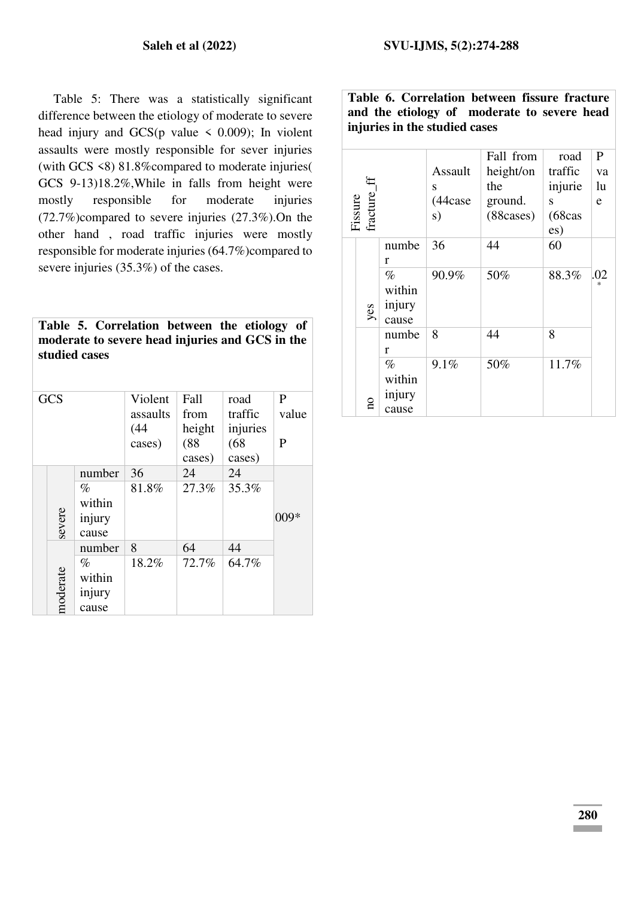Table 5: There was a statistically significant difference between the etiology of moderate to severe head injury and  $GCS(p \text{ value} < 0.009)$ ; In violent assaults were mostly responsible for sever injuries (with GCS <8) 81.8%compared to moderate injuries( GCS 9-13)18.2%,While in falls from height were mostly responsible for moderate injuries (72.7%)compared to severe injuries (27.3%).On the other hand , road traffic injuries were mostly responsible for moderate injuries (64.7%)compared to severe injuries (35.3%) of the cases.

|               | Table 5. Correlation between the etiology of    |  |  |  |
|---------------|-------------------------------------------------|--|--|--|
|               | moderate to severe head injuries and GCS in the |  |  |  |
| studied cases |                                                 |  |  |  |

| <b>GCS</b> |                                             | Violent<br>assaults<br>(44)<br>cases) | Fall<br>from<br>height<br>(88)<br>cases) | road<br>traffic<br>injuries<br>(68)<br>cases) | P<br>value<br>P |
|------------|---------------------------------------------|---------------------------------------|------------------------------------------|-----------------------------------------------|-----------------|
| severe     | number<br>$\%$<br>within<br>injury<br>cause | 36<br>81.8%                           | 24<br>27.3%                              | 24<br>35.3%                                   | 009*            |
| moderate   | number<br>%<br>within<br>injury<br>cause    | 8<br>18.2%                            | 64<br>72.7%                              | 44<br>64.7%                                   |                 |

**Table 6. Correlation between fissure fracture and the etiology of moderate to severe head injuries in the studied cases** 

| fracture_<br>Fissure |                                   | Assault<br>S<br>(44case<br>s) | Fall from<br>height/on<br>the<br>ground.<br>(88 cases) | road<br>traffic<br>injurie<br>S<br>(68cas<br>es) | $\mathbf{P}$<br>va<br>lu<br>e |
|----------------------|-----------------------------------|-------------------------------|--------------------------------------------------------|--------------------------------------------------|-------------------------------|
|                      | numbe<br>r                        | 36                            | 44                                                     | 60                                               |                               |
| yes                  | $\%$<br>within<br>injury<br>cause | 90.9%                         | 50%                                                    | 88.3%                                            | .02<br>冰                      |
|                      | numbe<br>r                        | 8                             | 44                                                     | 8                                                |                               |
| å                    | $\%$<br>within<br>injury<br>cause | 9.1%                          | 50%                                                    | 11.7%                                            |                               |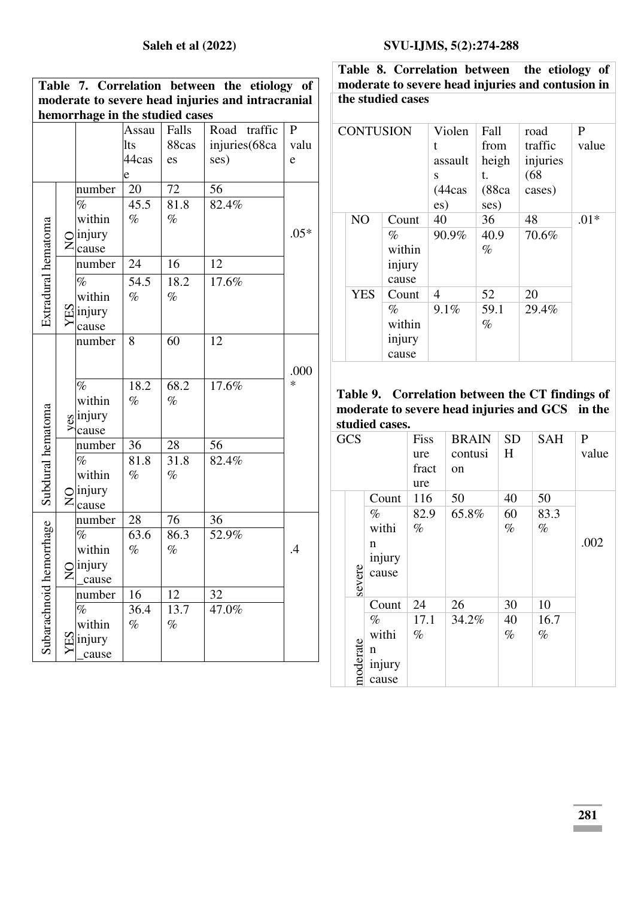| moderate to severe head injuries and intracranial<br>hemorrhage in the studied cases<br>traffic<br>${\bf P}$<br>Assau<br>Falls<br>Road<br>88cas<br>injuries(68ca<br>valu<br>lts<br>44cas<br>ses)<br>es<br>e<br>e<br>72<br>56<br>number<br>20<br>45.5<br>$\%$<br>81.8<br>82.4%<br>within<br>$\%$<br>$\%$<br>Extradural hematoma<br>$.05*$<br>injury<br>$\sum_{\text{cause}}^{\text{m}}$<br>16<br>24<br>12<br>number<br>54.5<br>18.2<br>17.6%<br>$\%$ |
|-----------------------------------------------------------------------------------------------------------------------------------------------------------------------------------------------------------------------------------------------------------------------------------------------------------------------------------------------------------------------------------------------------------------------------------------------------|
|                                                                                                                                                                                                                                                                                                                                                                                                                                                     |
|                                                                                                                                                                                                                                                                                                                                                                                                                                                     |
|                                                                                                                                                                                                                                                                                                                                                                                                                                                     |
|                                                                                                                                                                                                                                                                                                                                                                                                                                                     |
|                                                                                                                                                                                                                                                                                                                                                                                                                                                     |
|                                                                                                                                                                                                                                                                                                                                                                                                                                                     |
|                                                                                                                                                                                                                                                                                                                                                                                                                                                     |
|                                                                                                                                                                                                                                                                                                                                                                                                                                                     |
|                                                                                                                                                                                                                                                                                                                                                                                                                                                     |
|                                                                                                                                                                                                                                                                                                                                                                                                                                                     |
|                                                                                                                                                                                                                                                                                                                                                                                                                                                     |
|                                                                                                                                                                                                                                                                                                                                                                                                                                                     |
|                                                                                                                                                                                                                                                                                                                                                                                                                                                     |
| within<br>$\%$<br>$\%$                                                                                                                                                                                                                                                                                                                                                                                                                              |
| $\Xi$ injury                                                                                                                                                                                                                                                                                                                                                                                                                                        |
| cause                                                                                                                                                                                                                                                                                                                                                                                                                                               |
| 60<br>12<br>8<br>number                                                                                                                                                                                                                                                                                                                                                                                                                             |
|                                                                                                                                                                                                                                                                                                                                                                                                                                                     |
| .000                                                                                                                                                                                                                                                                                                                                                                                                                                                |
| 18.2<br>68.2<br>17.6%<br>*<br>$\%$                                                                                                                                                                                                                                                                                                                                                                                                                  |
| within<br>$\%$<br>$\%$                                                                                                                                                                                                                                                                                                                                                                                                                              |
| $\int_{0}^{\infty}$ injury                                                                                                                                                                                                                                                                                                                                                                                                                          |
| cause                                                                                                                                                                                                                                                                                                                                                                                                                                               |
| Subdural hematoma<br>28<br>56<br>36<br>number                                                                                                                                                                                                                                                                                                                                                                                                       |
| 81.8<br>31.8<br>82.4%<br>$\%$                                                                                                                                                                                                                                                                                                                                                                                                                       |
| within<br>$\%$<br>$\%$                                                                                                                                                                                                                                                                                                                                                                                                                              |
| injury                                                                                                                                                                                                                                                                                                                                                                                                                                              |
| $\overline{S}$<br>cause                                                                                                                                                                                                                                                                                                                                                                                                                             |
| 28<br>76<br>number<br>36                                                                                                                                                                                                                                                                                                                                                                                                                            |
| orthage<br>63.6<br>$\%$<br>86.3<br>52.9%                                                                                                                                                                                                                                                                                                                                                                                                            |
| $\%$<br>$\%$<br>within<br>$\mathcal{A}$                                                                                                                                                                                                                                                                                                                                                                                                             |
| injury                                                                                                                                                                                                                                                                                                                                                                                                                                              |
| $_{\rm Z}^{\rm O}$<br>cause                                                                                                                                                                                                                                                                                                                                                                                                                         |
| Subarachnoid hemo<br>16<br>12<br>32<br>number                                                                                                                                                                                                                                                                                                                                                                                                       |
| 36.4<br>47.0%<br>$\%$<br>13.7                                                                                                                                                                                                                                                                                                                                                                                                                       |
| within<br>$\%$<br>$\%$                                                                                                                                                                                                                                                                                                                                                                                                                              |
| YES<br>injury                                                                                                                                                                                                                                                                                                                                                                                                                                       |
| cause                                                                                                                                                                                                                                                                                                                                                                                                                                               |

# **Saleh et al (2022) SVU-IJMS, 5(2):274-288**

**Table 8. Correlation between the etiology of moderate to severe head injuries and contusion in the studied cases** 

| <b>CONTUSION</b> |                |        | Violen    | Fall  | road     | P      |
|------------------|----------------|--------|-----------|-------|----------|--------|
|                  |                |        | t         | from  | traffic  | value  |
|                  |                |        | assault   | heigh | injuries |        |
|                  |                |        | S         | t.    | (68)     |        |
|                  |                |        | $(44$ cas | (88ca | cases)   |        |
|                  |                |        | es)       | ses)  |          |        |
|                  | N <sub>O</sub> | Count  | 40        | 36    | 48       | $.01*$ |
|                  |                | $\%$   | 90.9%     | 40.9  | 70.6%    |        |
|                  |                | within |           | $\%$  |          |        |
|                  |                | injury |           |       |          |        |
|                  |                | cause  |           |       |          |        |
|                  | <b>YES</b>     | Count  | 4         | 52    | 20       |        |
|                  |                | $\%$   | 9.1%      | 59.1  | 29.4%    |        |
|                  |                | within |           | $\%$  |          |        |
|                  |                | injury |           |       |          |        |
|                  |                | cause  |           |       |          |        |

# **Table 9. Correlation between the CT findings of moderate to severe head injuries and GCS in the studied cases.**

| <b>GCS</b> |        | Fiss  | <b>BRAIN</b> | <b>SD</b> | <b>SAH</b> | P     |
|------------|--------|-------|--------------|-----------|------------|-------|
|            |        | ure   | contusi      | H         |            | value |
|            |        | fract | on           |           |            |       |
|            |        | ure   |              |           |            |       |
|            | Count  | 116   | 50           | 40        | 50         |       |
|            | $\%$   | 82.9  | 65.8%        | 60        | 83.3       |       |
|            | withi  | $\%$  |              | $\%$      | $\%$       |       |
|            | n      |       |              |           |            | .002  |
|            | injury |       |              |           |            |       |
|            | cause  |       |              |           |            |       |
| severe     |        |       |              |           |            |       |
|            | Count  | 24    | 26           | 30        | 10         |       |
|            | $\%$   | 17.1  | 34.2%        | 40        | 16.7       |       |
|            | withi  | %     |              | $\%$      | $\%$       |       |
|            | n      |       |              |           |            |       |
| moderate   | injury |       |              |           |            |       |
|            | cause  |       |              |           |            |       |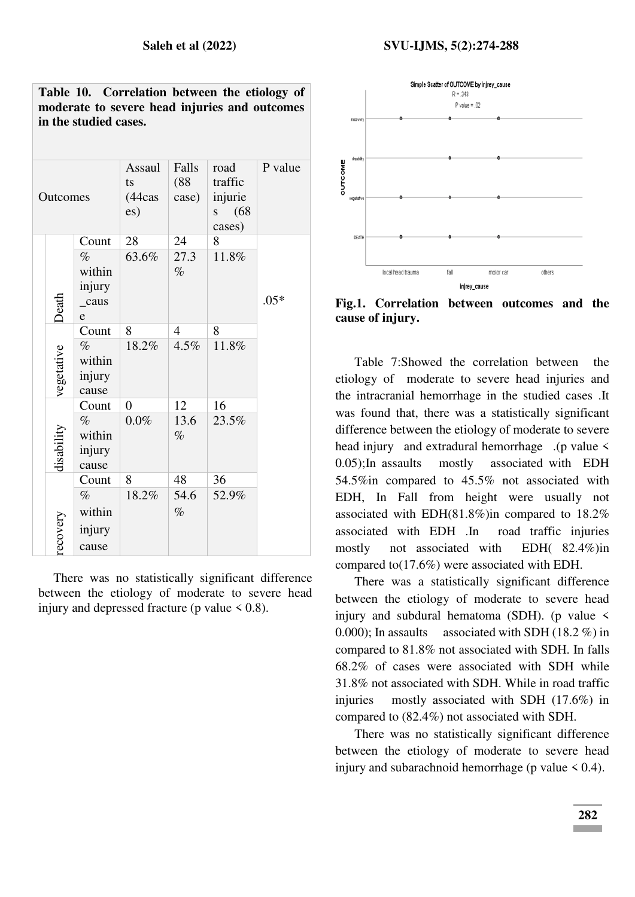#### **Saleh et al (2022) SVU-IJMS, 5(2):274-288**

| Outcomes   |        | Assaul<br>ts<br>(44cas<br>es) | Falls<br>(88)<br>case) | road<br>traffic<br>injurie<br>(68)<br>S<br>cases) | P value |
|------------|--------|-------------------------------|------------------------|---------------------------------------------------|---------|
|            | Count  | 28                            | 24                     | 8                                                 |         |
|            | $\%$   | 63.6%                         | 27.3                   | 11.8%                                             |         |
|            | within |                               | $\%$                   |                                                   |         |
|            | injury |                               |                        |                                                   |         |
| Death      | _caus  |                               |                        |                                                   | $.05*$  |
|            | e      |                               |                        |                                                   |         |
|            | Count  | 8                             | $\overline{4}$         | 8                                                 |         |
|            | $\%$   | 18.2%                         | $4.5\%$                | 11.8%                                             |         |
| vegetative | within |                               |                        |                                                   |         |
|            | injury |                               |                        |                                                   |         |
|            | cause  |                               |                        |                                                   |         |
|            | Count  | $\overline{0}$                | 12                     | 16                                                |         |
|            | $\%$   | $0.0\%$                       | 13.6                   | 23.5%                                             |         |
|            | within |                               | $\%$                   |                                                   |         |
| disability | injury |                               |                        |                                                   |         |
|            | cause  |                               |                        |                                                   |         |
|            | Count  | 8                             | 48                     | 36                                                |         |
|            | $\%$   | 18.2%                         | 54.6                   | 52.9%                                             |         |
|            | within |                               | $\%$                   |                                                   |         |
|            | injury |                               |                        |                                                   |         |
| recovery   | cause  |                               |                        |                                                   |         |
|            |        |                               |                        |                                                   |         |

**Table 10. Correlation between the etiology of moderate to severe head injuries and outcomes in the studied cases.** 

There was no statistically significant difference between the etiology of moderate to severe head injury and depressed fracture (p value  $\leq 0.8$ ).



**Fig.1. Correlation between outcomes and the cause of injury.** 

Table 7:Showed the correlation between the etiology of moderate to severe head injuries and the intracranial hemorrhage in the studied cases .It was found that, there was a statistically significant difference between the etiology of moderate to severe head injury and extradural hemorrhage .(p value < 0.05);In assaults mostly associated with EDH 54.5%in compared to 45.5% not associated with EDH, In Fall from height were usually not associated with EDH(81.8%)in compared to 18.2% associated with EDH .In road traffic injuries mostly not associated with EDH( 82.4%)in compared to(17.6%) were associated with EDH.

There was a statistically significant difference between the etiology of moderate to severe head injury and subdural hematoma (SDH). (p value  $\leq$ 0.000); In assaults associated with SDH (18.2 %) in compared to 81.8% not associated with SDH. In falls 68.2% of cases were associated with SDH while 31.8% not associated with SDH. While in road traffic injuries mostly associated with SDH (17.6%) in compared to (82.4%) not associated with SDH.

There was no statistically significant difference between the etiology of moderate to severe head injury and subarachnoid hemorrhage (p value  $\leq 0.4$ ).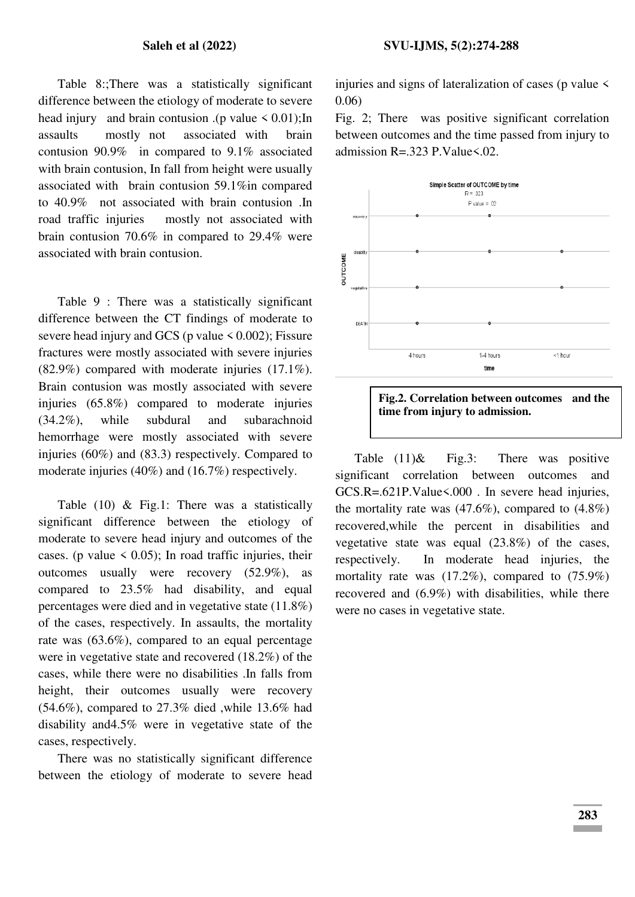Table 8:;There was a statistically significant difference between the etiology of moderate to severe head injury and brain contusion .(p value  $\leq 0.01$ ); In assaults mostly not associated with brain contusion 90.9% in compared to 9.1% associated with brain contusion, In fall from height were usually associated with brain contusion 59.1%in compared to 40.9% not associated with brain contusion .In road traffic injuries mostly not associated with brain contusion 70.6% in compared to 29.4% were associated with brain contusion.

Table 9 : There was a statistically significant difference between the CT findings of moderate to severe head injury and GCS (p value  $\leq 0.002$ ); Fissure fractures were mostly associated with severe injuries (82.9%) compared with moderate injuries (17.1%). Brain contusion was mostly associated with severe injuries (65.8%) compared to moderate injuries (34.2%), while subdural and subarachnoid hemorrhage were mostly associated with severe injuries (60%) and (83.3) respectively. Compared to moderate injuries (40%) and (16.7%) respectively.

Table (10) & Fig.1: There was a statistically significant difference between the etiology of moderate to severe head injury and outcomes of the cases. (p value  $\leq$  0.05); In road traffic injuries, their outcomes usually were recovery (52.9%), as compared to 23.5% had disability, and equal percentages were died and in vegetative state (11.8%) of the cases, respectively. In assaults, the mortality rate was (63.6%), compared to an equal percentage were in vegetative state and recovered (18.2%) of the cases, while there were no disabilities .In falls from height, their outcomes usually were recovery (54.6%), compared to 27.3% died ,while 13.6% had disability and4.5% were in vegetative state of the cases, respectively.

There was no statistically significant difference between the etiology of moderate to severe head injuries and signs of lateralization of cases ( $p$  value  $\leq$ 0.06)

Fig. 2; There was positive significant correlation between outcomes and the time passed from injury to admission R=.323 P.Value<.02.





Table  $(11)$ & Fig.3: There was positive significant correlation between outcomes and GCS.R=.621P.Value<.000 . In severe head injuries, the mortality rate was  $(47.6\%)$ , compared to  $(4.8\%)$ recovered,while the percent in disabilities and vegetative state was equal (23.8%) of the cases, respectively. In moderate head injuries, the mortality rate was  $(17.2\%)$ , compared to  $(75.9\%)$ recovered and (6.9%) with disabilities, while there were no cases in vegetative state.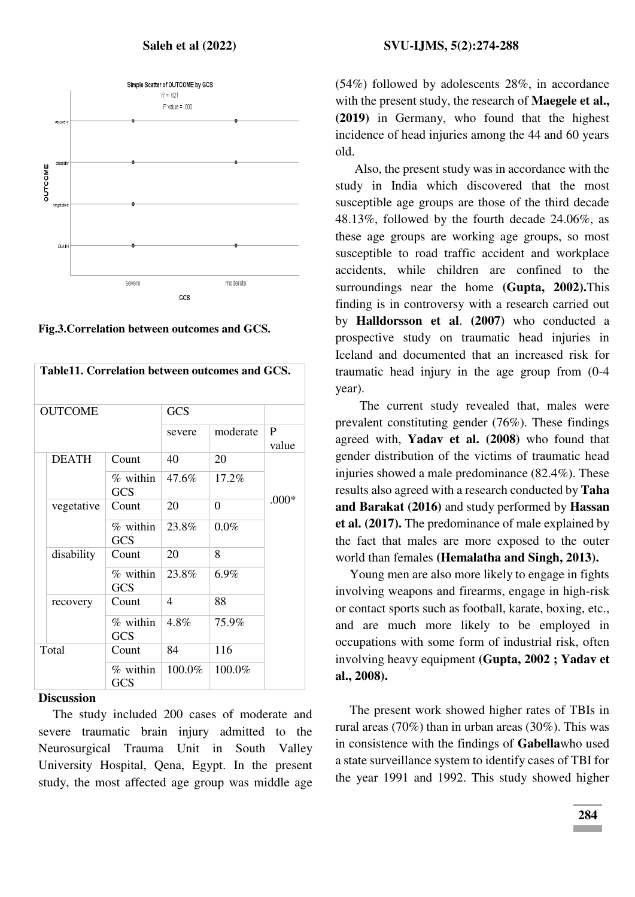

**Fig.3.Correlation between outcomes and GCS.** 

| Table11. Correlation between outcomes and GCS. |                        |            |                |                       |
|------------------------------------------------|------------------------|------------|----------------|-----------------------|
| <b>OUTCOME</b>                                 |                        | <b>GCS</b> |                |                       |
|                                                |                        | severe     | moderate       | $\mathbf{P}$<br>value |
| <b>DEATH</b>                                   | Count                  | 40         | 20             |                       |
|                                                | % within<br><b>GCS</b> | 47.6%      | 17.2%          |                       |
| vegetative                                     | Count                  | 20         | $\overline{0}$ | $.000*$               |
|                                                | % within<br><b>GCS</b> | 23.8%      | 0.0%           |                       |
| disability                                     | Count                  | 20         | 8              |                       |
|                                                | % within<br><b>GCS</b> | 23.8%      | 6.9%           |                       |
| recovery                                       | Count                  | 4          | 88             |                       |
|                                                | % within<br><b>GCS</b> | 4.8%       | 75.9%          |                       |
| Total                                          | Count                  | 84         | 116            |                       |
|                                                | % within<br><b>GCS</b> | 100.0%     | 100.0%         |                       |

#### **Discussion**

The study included 200 cases of moderate and severe traumatic brain injury admitted to the Neurosurgical Trauma Unit in South Valley University Hospital, Qena, Egypt. In the present study, the most affected age group was middle age (54%) followed by adolescents 28%, in accordance with the present study, the research of **Maegele et al., (2019)** in Germany, who found that the highest incidence of head injuries among the 44 and 60 years old.

Also, the present study was in accordance with the study in India which discovered that the most susceptible age groups are those of the third decade 48.13%, followed by the fourth decade 24.06%, as these age groups are working age groups, so most susceptible to road traffic accident and workplace accidents, while children are confined to the surroundings near the home **(Gupta, 2002).**This finding is in controversy with a research carried out by **Halldorsson et al**. **(2007)** who conducted a prospective study on traumatic head injuries in Iceland and documented that an increased risk for traumatic head injury in the age group from (0-4 year).

 The current study revealed that, males were prevalent constituting gender (76%). These findings agreed with, **Yadav et al. (2008)** who found that gender distribution of the victims of traumatic head injuries showed a male predominance (82.4%). These results also agreed with a research conducted by **Taha and Barakat (2016)** and study performed by **Hassan et al. (2017).** The predominance of male explained by the fact that males are more exposed to the outer world than females **(Hemalatha and Singh, 2013).** 

Young men are also more likely to engage in fights involving weapons and firearms, engage in high-risk or contact sports such as football, karate, boxing, etc., and are much more likely to be employed in occupations with some form of industrial risk, often involving heavy equipment **(Gupta, 2002 ; Yadav et al., 2008).**

The present work showed higher rates of TBIs in rural areas (70%) than in urban areas (30%). This was in consistence with the findings of **Gabella**who used a state surveillance system to identify cases of TBI for the year 1991 and 1992. This study showed higher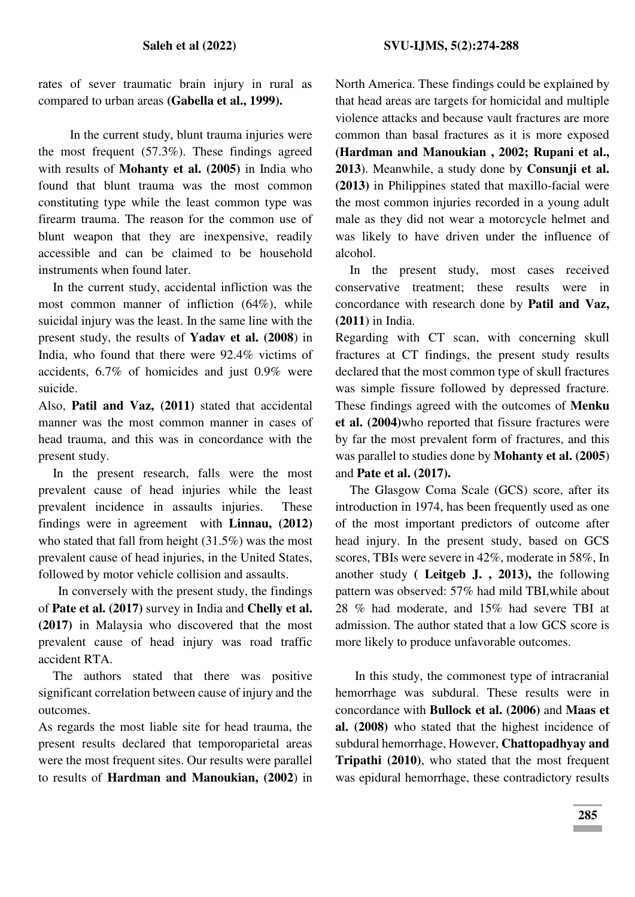rates of sever traumatic brain injury in rural as compared to urban areas **(Gabella et al., 1999).** 

 In the current study, blunt trauma injuries were the most frequent (57.3%). These findings agreed with results of **Mohanty et al. (2005)** in India who found that blunt trauma was the most common constituting type while the least common type was firearm trauma. The reason for the common use of blunt weapon that they are inexpensive, readily accessible and can be claimed to be household instruments when found later.

In the current study, accidental infliction was the most common manner of infliction (64%), while suicidal injury was the least. In the same line with the present study, the results of **Yadav et al. (2008**) in India, who found that there were 92.4% victims of accidents, 6.7% of homicides and just 0.9% were suicide.

Also, **Patil and Vaz, (2011)** stated that accidental manner was the most common manner in cases of head trauma, and this was in concordance with the present study.

In the present research, falls were the most prevalent cause of head injuries while the least prevalent incidence in assaults injuries. These findings were in agreement with **Linnau, (2012)** who stated that fall from height (31.5%) was the most prevalent cause of head injuries, in the United States, followed by motor vehicle collision and assaults.

 In conversely with the present study, the findings of **Pate et al. (2017)** survey in India and **Chelly et al. (2017)** in Malaysia who discovered that the most prevalent cause of head injury was road traffic accident RTA.

The authors stated that there was positive significant correlation between cause of injury and the outcomes.

As regards the most liable site for head trauma, the present results declared that temporoparietal areas were the most frequent sites. Our results were parallel to results of **Hardman and Manoukian, (2002**) in North America. These findings could be explained by that head areas are targets for homicidal and multiple violence attacks and because vault fractures are more common than basal fractures as it is more exposed **(Hardman and Manoukian , 2002; Rupani et al., 2013**). Meanwhile, a study done by **Consunji et al. (2013)** in Philippines stated that maxillo-facial were the most common injuries recorded in a young adult male as they did not wear a motorcycle helmet and was likely to have driven under the influence of alcohol.

In the present study, most cases received conservative treatment; these results were in concordance with research done by **Patil and Vaz, (2011**) in India.

Regarding with CT scan, with concerning skull fractures at CT findings, the present study results declared that the most common type of skull fractures was simple fissure followed by depressed fracture. These findings agreed with the outcomes of **Menku et al. (2004)**who reported that fissure fractures were by far the most prevalent form of fractures, and this was parallel to studies done by **Mohanty et al. (2005**) and **Pate et al. (2017).**

The Glasgow Coma Scale (GCS) score, after its introduction in 1974, has been frequently used as one of the most important predictors of outcome after head injury. In the present study, based on GCS scores, TBIs were severe in 42%, moderate in 58%, In another study **( Leitgeb J. , 2013),** the following pattern was observed: 57% had mild TBI,while about 28 % had moderate, and 15% had severe TBI at admission. The author stated that a low GCS score is more likely to produce unfavorable outcomes.

 In this study, the commonest type of intracranial hemorrhage was subdural. These results were in concordance with **Bullock et al. (2006)** and **Maas et al. (2008)** who stated that the highest incidence of subdural hemorrhage, However, **Chattopadhyay and Tripathi (2010)**, who stated that the most frequent was epidural hemorrhage, these contradictory results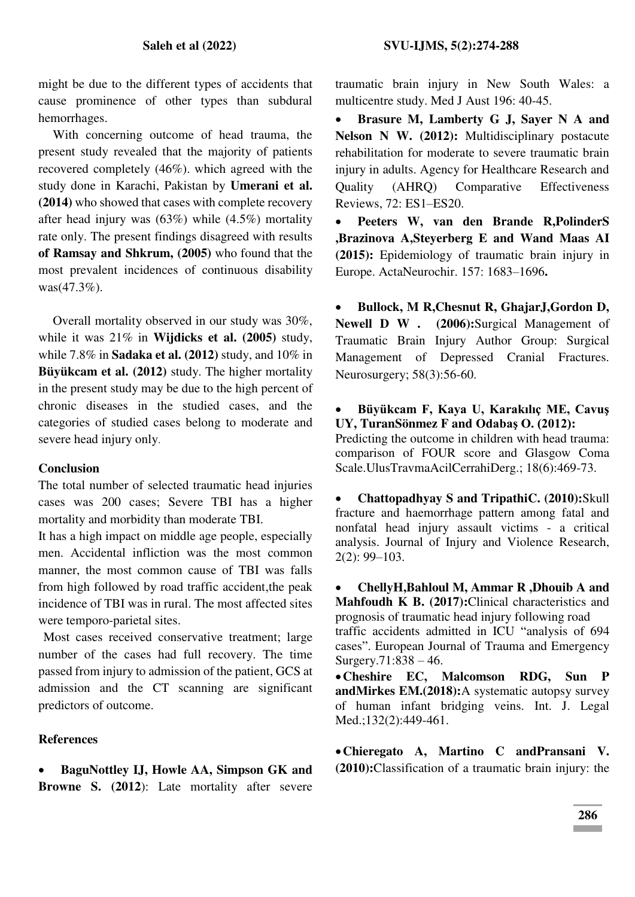might be due to the different types of accidents that cause prominence of other types than subdural hemorrhages.

With concerning outcome of head trauma, the present study revealed that the majority of patients recovered completely (46%). which agreed with the study done in Karachi, Pakistan by **Umerani et al. (2014)** who showed that cases with complete recovery after head injury was (63%) while (4.5%) mortality rate only. The present findings disagreed with results **of Ramsay and Shkrum, (2005)** who found that the most prevalent incidences of continuous disability was(47.3%).

Overall mortality observed in our study was 30%, while it was 21% in **Wijdicks et al. (2005)** study, while 7.8% in **Sadaka et al. (2012)** study, and 10% in **Büyükcam et al. (2012)** study. The higher mortality in the present study may be due to the high percent of chronic diseases in the studied cases, and the categories of studied cases belong to moderate and severe head injury only.

## **Conclusion**

The total number of selected traumatic head injuries cases was 200 cases; Severe TBI has a higher mortality and morbidity than moderate TBI.

It has a high impact on middle age people, especially men. Accidental infliction was the most common manner, the most common cause of TBI was falls from high followed by road traffic accident,the peak incidence of TBI was in rural. The most affected sites were temporo-parietal sites.

 Most cases received conservative treatment; large number of the cases had full recovery. The time passed from injury to admission of the patient, GCS at admission and the CT scanning are significant predictors of outcome.

## **References**

 **BaguNottley IJ, Howle AA, Simpson GK and Browne S.** (2012): Late mortality after severe traumatic brain injury in New South Wales: a multicentre study. Med J Aust 196: 40-45.

 **Brasure M, Lamberty G J, Sayer N A and Nelson N W. (2012):** Multidisciplinary postacute rehabilitation for moderate to severe traumatic brain injury in adults. Agency for Healthcare Research and Quality (AHRQ) Comparative Effectiveness Reviews, 72: ES1–ES20.

 **Peeters W, van den Brande R,PolinderS ,Brazinova A,Steyerberg E and Wand Maas AI (2015):** Epidemiology of traumatic brain injury in Europe. ActaNeurochir. 157: 1683–1696**.** 

 **Bullock, M R,Chesnut R, GhajarJ,Gordon D, Newell D W . (2006):**Surgical Management of Traumatic Brain Injury Author Group: Surgical Management of Depressed Cranial Fractures. Neurosurgery; 58(3):56-60.

 **Büyükcam F, Kaya U, Karakılıç ME, Cavuş UY, TuranSönmez F and Odabaş O. (2012):** 

Predicting the outcome in children with head trauma: comparison of FOUR score and Glasgow Coma Scale.UlusTravmaAcilCerrahiDerg.; 18(6):469-73.

 **Chattopadhyay S and TripathiC. (2010):**Skull fracture and haemorrhage pattern among fatal and nonfatal head injury assault victims - a critical analysis. Journal of Injury and Violence Research, 2(2): 99–103.

 **ChellyH,Bahloul M, Ammar R ,Dhouib A and Mahfoudh K B. (2017):**Clinical characteristics and prognosis of traumatic head injury following road traffic accidents admitted in ICU "analysis of 694 cases". European Journal of Trauma and Emergency Surgery.71:838 – 46.

**Cheshire EC, Malcomson RDG, Sun P andMirkes EM.(2018):**A systematic autopsy survey of human infant bridging veins. Int. J. Legal Med.;132(2):449-461.

**Chieregato A, Martino C andPransani V. (2010):**Classification of a traumatic brain injury: the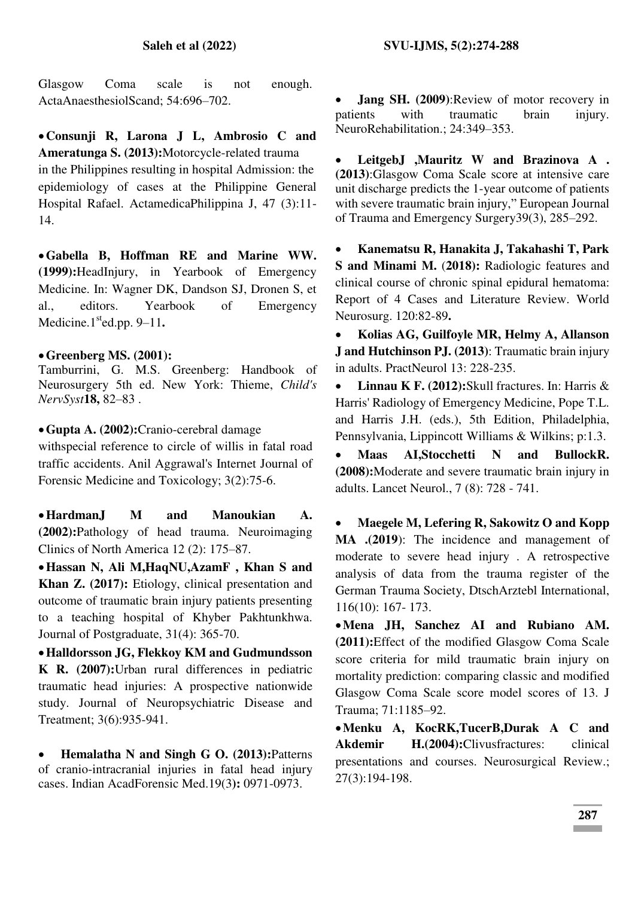Glasgow Coma scale is not enough. ActaAnaesthesiolScand; 54:696–702.

**Consunji R, Larona J L, Ambrosio C and Ameratunga S. (2013):**Motorcycle-related trauma in the Philippines resulting in hospital Admission: the epidemiology of cases at the Philippine General Hospital Rafael. ActamedicaPhilippina J, 47 (3):11- 14.

**Gabella B, Hoffman RE and Marine WW. (1999):**HeadInjury, in Yearbook of Emergency Medicine. In: Wagner DK, Dandson SJ, Dronen S, et al., editors. Yearbook of Emergency Medicine. $1<sup>st</sup>$ ed.pp. 9–11.

### **Greenberg MS. (2001):**

Tamburrini, G. M.S. Greenberg: Handbook of Neurosurgery 5th ed. New York: Thieme, *Child's NervSyst***18,** 82–83 .

**Gupta A. (2002):**Cranio-cerebral damage

withspecial reference to circle of willis in fatal road traffic accidents. Anil Aggrawal's Internet Journal of Forensic Medicine and Toxicology; 3(2):75-6.

**HardmanJ M and Manoukian A. (2002):**Pathology of head trauma. Neuroimaging Clinics of North America 12 (2): 175–87.

**Hassan N, Ali M,HaqNU,AzamF , Khan S and Khan Z. (2017):** Etiology, clinical presentation and outcome of traumatic brain injury patients presenting to a teaching hospital of Khyber Pakhtunkhwa. Journal of Postgraduate, 31(4): 365-70.

**Halldorsson JG, Flekkoy KM and Gudmundsson K R. (2007):**Urban rural differences in pediatric traumatic head injuries: A prospective nationwide study. Journal of Neuropsychiatric Disease and Treatment; 3(6):935-941.

 **Hemalatha N and Singh G O. (2013):**Patterns of cranio-intracranial injuries in fatal head injury cases. Indian AcadForensic Med.19(3**):** 0971-0973.

 **Jang SH. (2009)**:Review of motor recovery in patients with traumatic brain injury. NeuroRehabilitation.; 24:349–353.

 **LeitgebJ ,Mauritz W and Brazinova A . (2013)**:Glasgow Coma Scale score at intensive care unit discharge predicts the 1-year outcome of patients with severe traumatic brain injury," European Journal of Trauma and Emergency Surgery39(3), 285–292.

 **Kanematsu R, Hanakita J, Takahashi T, Park S and Minami M.** (**2018):** Radiologic features and clinical course of chronic spinal epidural hematoma: Report of 4 Cases and Literature Review. World Neurosurg. 120:82-89**.** 

 **Kolias AG, Guilfoyle MR, Helmy A, Allanson J and Hutchinson PJ. (2013)**: Traumatic brain injury in adults. PractNeurol 13: 228-235.

 **Linnau K F. (2012):**Skull fractures. In: Harris & Harris' Radiology of Emergency Medicine, Pope T.L. and Harris J.H. (eds.), 5th Edition, Philadelphia, Pennsylvania, Lippincott Williams & Wilkins; p:1.3.

 **Maas AI,Stocchetti N and BullockR. (2008):**Moderate and severe traumatic brain injury in adults. Lancet Neurol., 7 (8): 728 - 741.

 **Maegele M, Lefering R, Sakowitz O and Kopp MA .(2019**): The incidence and management of moderate to severe head injury . A retrospective analysis of data from the trauma register of the German Trauma Society, DtschArztebl International, 116(10): 167- 173.

**Mena JH, Sanchez AI and Rubiano AM. (2011):**Effect of the modified Glasgow Coma Scale score criteria for mild traumatic brain injury on mortality prediction: comparing classic and modified Glasgow Coma Scale score model scores of 13. J Trauma; 71:1185–92.

**Menku A, KocRK,TucerB,Durak A C and Akdemir H.(2004):**Clivusfractures: clinical presentations and courses. Neurosurgical Review.; 27(3):194-198.